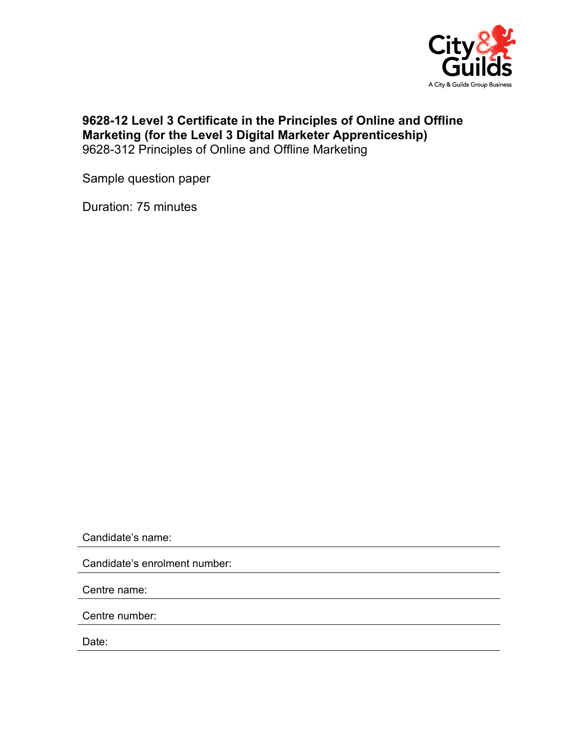

## **9628-12 Level 3 Certificate in the Principles of Online and Offline Marketing (for the Level 3 Digital Marketer Apprenticeship)**  9628-312 Principles of Online and Offline Marketing

Sample question paper

Duration: 75 minutes

Candidate's name:

Candidate's enrolment number:

Centre name:

Centre number:

Date: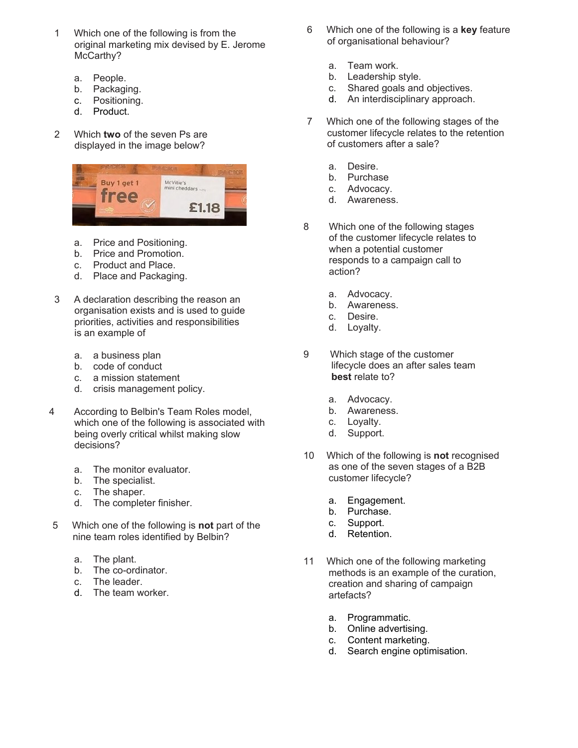- 1 Which one of the following is from the original marketing mix devised by E. Jerome McCarthy?
	- a. People.
	- b. Packaging.
	- c. Positioning.
	- d. Product.
- 2 Which **two** of the seven Ps are displayed in the image below?



- a. Price and Positioning.
- b. Price and Promotion.
- c. Product and Place.
- d. Place and Packaging.
- 3 A declaration describing the reason an organisation exists and is used to guide priorities, activities and responsibilities is an example of
	- a. a business plan
	- b. code of conduct
	- c. a mission statement
	- d. crisis management policy.
- 4 According to Belbin's Team Roles model, which one of the following is associated with being overly critical whilst making slow decisions?
	- a. The monitor evaluator.
	- b. The specialist.
	- c. The shaper.
	- d. The completer finisher.
- 5 Which one of the following is **not** part of the nine team roles identified by Belbin?
	- a. The plant.
	- b. The co-ordinator.
	- c. The leader.
	- d. The team worker.
- 6 Which one of the following is a **key** feature of organisational behaviour?
	- a. Team work.
	- b. Leadership style.
	- c. Shared goals and objectives.
	- d. An interdisciplinary approach.
- 7 Which one of the following stages of the customer lifecycle relates to the retention of customers after a sale?
	- a. Desire.
	- b. Purchase
	- c. Advocacy.
	- d. Awareness.
- 8 Which one of the following stages of the customer lifecycle relates to when a potential customer responds to a campaign call to action?
	- a. Advocacy.
	- b. Awareness.
	- c. Desire.
	- d. Loyalty.
- 9 Which stage of the customer lifecycle does an after sales team **best** relate to?
	- a. Advocacy.
	- b. Awareness.
	- c. Loyalty.
	- d. Support.
- 10 Which of the following is **not** recognised as one of the seven stages of a B2B customer lifecycle?
	- a. Engagement.
	- b. Purchase.
	- c. Support.
	- d. Retention.
- 11 Which one of the following marketing methods is an example of the curation, creation and sharing of campaign artefacts?
	- a. Programmatic.
	- b. Online advertising.
	- c. Content marketing.
	- d. Search engine optimisation.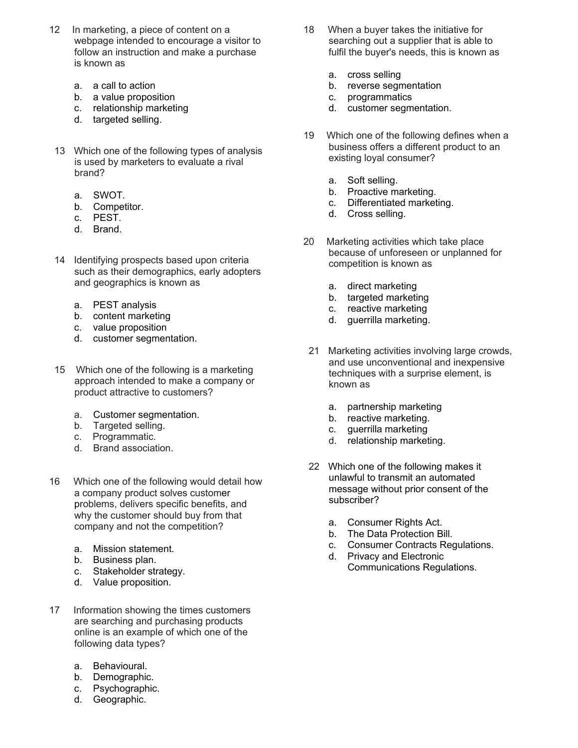- 12 In marketing, a piece of content on a webpage intended to encourage a visitor to follow an instruction and make a purchase is known as
	- a. a call to action
	- b. a value proposition
	- c. relationship marketing
	- d. targeted selling.
- 13 Which one of the following types of analysis is used by marketers to evaluate a rival brand?
	- a. SWOT.
	- b. Competitor.
	- c. PEST.
	- d. Brand.
- 14 Identifying prospects based upon criteria such as their demographics, early adopters and geographics is known as
	- a. PEST analysis
	- b. content marketing
	- c. value proposition
	- d. customer segmentation.
- 15 Which one of the following is a marketing approach intended to make a company or product attractive to customers?
	- a. Customer segmentation.
	- b. Targeted selling.
	- c. Programmatic.
	- d. Brand association.
- 16 Which one of the following would detail how a company product solves customer problems, delivers specific benefits, and why the customer should buy from that company and not the competition?
	- a. Mission statement.
	- b. Business plan.
	- c. Stakeholder strategy.
	- d. Value proposition.
- 17 Information showing the times customers are searching and purchasing products online is an example of which one of the following data types?
	- a. Behavioural.
	- b. Demographic.
	- c. Psychographic.
	- d. Geographic.
- 18 When a buyer takes the initiative for searching out a supplier that is able to fulfil the buyer's needs, this is known as
	- a. cross selling
	- b. reverse segmentation
	- c. programmatics
	- d. customer segmentation.
- 19 Which one of the following defines when a business offers a different product to an existing loyal consumer?
	- a. Soft selling.
	- b. Proactive marketing.
	- c. Differentiated marketing.
	- d. Cross selling.
- 20 Marketing activities which take place because of unforeseen or unplanned for competition is known as
	- a. direct marketing
	- b. targeted marketing
	- c. reactive marketing
	- d. guerrilla marketing.
- 21 Marketing activities involving large crowds, and use unconventional and inexpensive techniques with a surprise element, is known as
	- a. partnership marketing
	- b. reactive marketing.
	- c. guerrilla marketing
	- d. relationship marketing.
- 22 Which one of the following makes it unlawful to transmit an automated message without prior consent of the subscriber?
	- a. Consumer Rights Act.
	- b. The Data Protection Bill.
	- c. Consumer Contracts Regulations.
	- d. Privacy and Electronic Communications Regulations.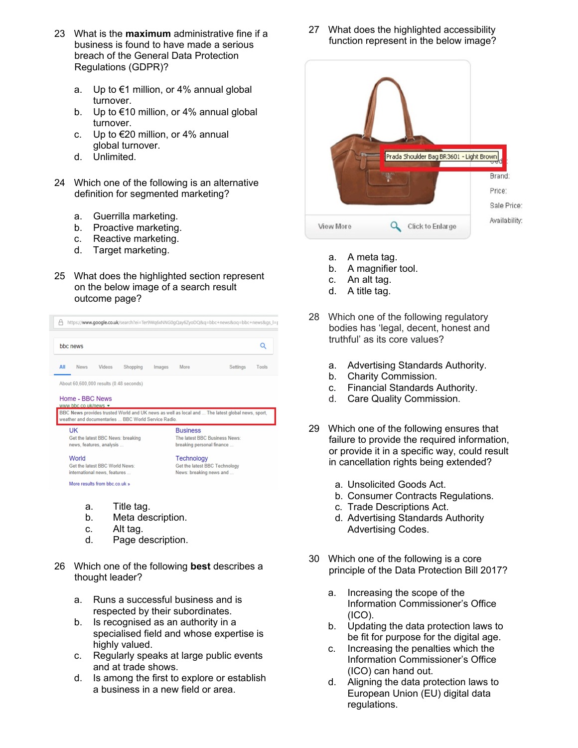- 23 What is the **maximum** administrative fine if a business is found to have made a serious breach of the General Data Protection Regulations (GDPR)?
	- a. Up to €1 million, or 4% annual global turnover.
	- b. Up to €10 million, or 4% annual global turnover.
	- c. Up to €20 million, or 4% annual global turnover.
	- d. Unlimited.
- 24 Which one of the following is an alternative definition for segmented marketing?
	- a. Guerrilla marketing.
	- b. Proactive marketing.
	- c. Reactive marketing.
	- d. Target marketing.
- 25 What does the highlighted section represent on the below image of a search result outcome page?



- d. Page description.
- 26 Which one of the following **best** describes a thought leader?
	- a. Runs a successful business and is respected by their subordinates.
	- b. Is recognised as an authority in a specialised field and whose expertise is highly valued.
	- c. Regularly speaks at large public events and at trade shows.
	- d. Is among the first to explore or establish a business in a new field or area.

27 What does the highlighted accessibility function represent in the below image?



- a. A meta tag.
- b. A magnifier tool.
- c. An alt tag.
- d. A title tag.
- 28 Which one of the following regulatory bodies has 'legal, decent, honest and truthful' as its core values?
	- a. Advertising Standards Authority.
	- b. Charity Commission.
	- c. Financial Standards Authority.
	- d. Care Quality Commission.
- 29 Which one of the following ensures that failure to provide the required information, or provide it in a specific way, could result in cancellation rights being extended?
	- a. Unsolicited Goods Act.
	- b. Consumer Contracts Regulations.
	- c. Trade Descriptions Act.
	- d. Advertising Standards Authority Advertising Codes.
- 30 Which one of the following is a core principle of the Data Protection Bill 2017?
	- a. Increasing the scope of the Information Commissioner's Office (ICO).
	- b. Updating the data protection laws to be fit for purpose for the digital age.
	- c. Increasing the penalties which the Information Commissioner's Office (ICO) can hand out.
	- d. Aligning the data protection laws to European Union (EU) digital data regulations.